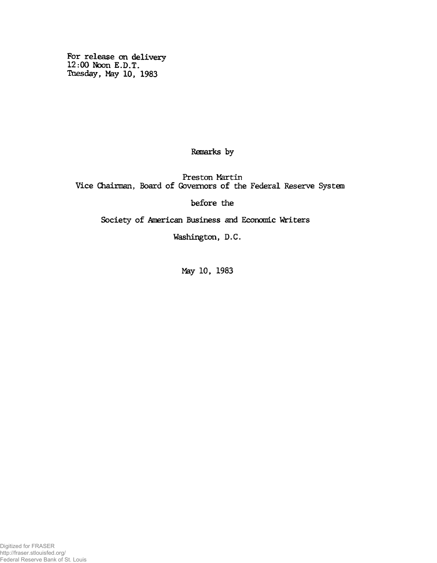**For release on delivery 12:00 Noon E.D.T. Tuesday, May 10, 1983**

**Remarks by**

**Preston Martin Vice Chairman, Board of Governors of the Federal Reserve System**

**before the**

**Society of American Business and Economic Writers**

**Washington, D.C.**

**May 10, 1983**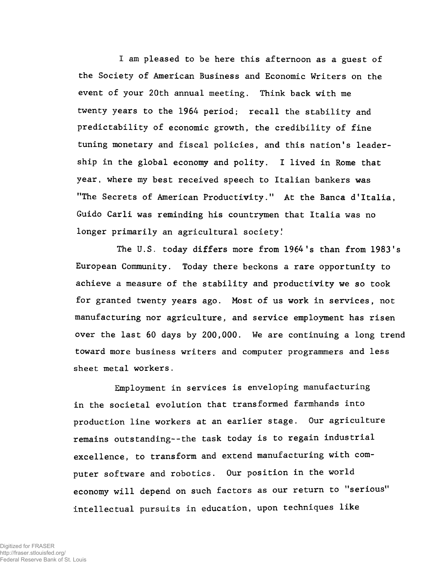**I am pleased to be here this afternoon as a guest of the Society of American Business and Economic Writers on the event of your 20th annual meeting. Think back with me twenty years to the 1964 period; recall the stability and predictability of economic growth, the credibility of fine tuning monetary and fiscal policies, and this nation's leadership in the global economy and polity. I lived in Rome that year, where my best received speech to Italian bankers was "The Secrets of American Productivity." At the Banca d 1Italia, Guido Carli was reminding his countrymen that Italia was no longer primarily an agricultural society!**

**The U.S. today differs more from 1964's than from 1983's European Community. Today there beckons a rare opportunity to achieve a measure of the stability and productivity we so took for granted twenty years ago. Most of us work in services, not manufacturing nor agriculture, and service employment has risen over the last 60 days by 200,000. We are continuing a long trend toward more business writers and computer programmers and less sheet metal workers.**

**Employment in services is enveloping manufacturing in the societal evolution that transformed farmhands into production line workers at an earlier stage. Our agriculture remains outstanding--the task today is to regain industrial excellence, to transform and extend manufacturing with computer software and robotics. Our position in the world economy will depend on such factors as our return to "serious" intellectual pursuits in education, upon techniques like**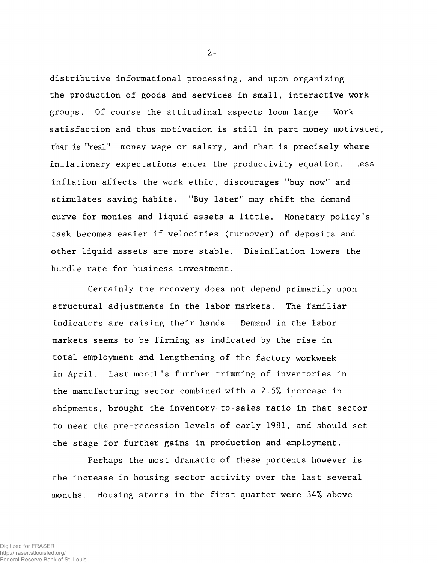**distributive informational processing, and upon organizing the production of goods and services in small, interactive work groups. Of course the attitudinal aspects loom large. Work satisfaction and thus motivation is still in part money motivated, that is "real" money wage or salary, and that is precisely where inflationary expectations enter the productivity equation. Less inflation affects the work ethic, discourages "buy now" and stimulates saving habits. "Buy later" may shift the demand curve for monies and liquid assets a little. Monetary policy's task becomes easier if velocities (turnover) of deposits and other liquid assets are more stable. Disinflation lowers the hurdle rate for business investment.**

**Certainly the recovery does not depend primarily upon structural adjustments in the labor markets. The familiar indicators are raising their hands. Demand in the labor markets seems to be firming as indicated by the rise in total employment and lengthening of the factory workweek in April. Last month's further trimming of inventories in the manufacturing sector combined with a 2.***5%* **increase in shipments, brought the inventory-to-sales ratio in that sector to near the pre-recession levels of early 1981, and should set the stage for further gains in production and employment.**

**Perhaps the most dramatic of these portents however is the increase in housing sector activity over the last several months. Housing starts in the first quarter were 347» above**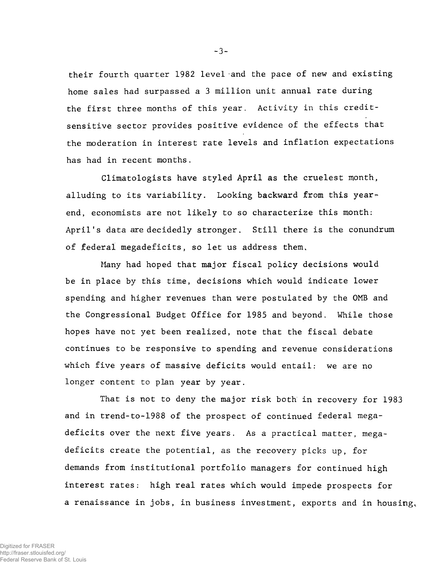**their fourth quarter 1982 level and the pace of new and existing home sales had surpassed a 3 million unit annual rate during the first three months of this year. Activity in this creditsensitive sector provides positive evidence of the effects that the moderation in interest rate levels and inflation expectations has had in recent months.**

**Climatologists have styled April as the cruelest month, alluding to its variability. Looking backward from this year^ end, economists are not likely to so characterize this month: April's data are decidedly stronger. Still there is the conundrum of federal megadeficits, so let us address them.**

**Many had hoped that major fiscal policy decisions would be in place by this time, decisions which would indicate lower spending and higher revenues than were postulated by the OMB and the Congressional Budget Office for 1985 and beyond. While those hopes have not yet been realized, note that the fiscal debate continues to be responsive to spending and revenue considerations which five years of massive deficits would entail: we are no longer content to plan year by year.**

**That is not to deny the major risk both in recovery for 1983 and in trend-to-1988 of the prospect of continued federal megadeficits over the next five years. As a practical matter, megadeficits create the potential, as the recovery picks up, for demands from institutional portfolio managers for continued high interest rates: high real rates which would impede prospects for a renaissance in jobs, in business investment, exports and in housing.**

**-3-**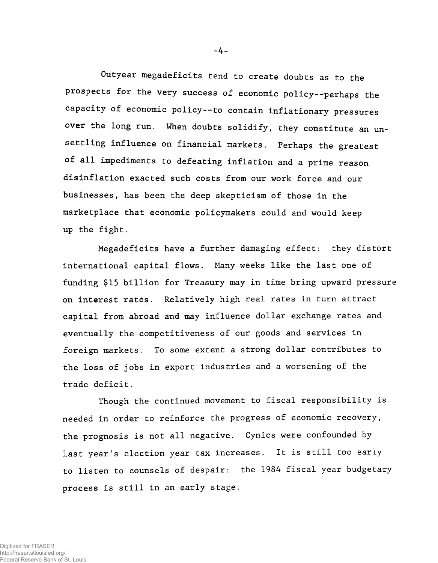**Outyear megadeficits tend to create doubts as to the prospects for the very success of economic policy--perhaps the capacity of economic policy--to contain inflationary pressures** over the long run. When doubts solidify, they constitute an un**settling influence on financial markets. Perhaps the greatest of all impediments to defeating inflation and a prime reason disinflation exacted such costs from our work force and our businesses, has been the deep skepticism of those in the marketplace that economic policymakers could and would keep up the fight.**

**Megadeficits have a further damaging effect: they distort international capital flows. Many weeks like the last one of funding \$15 billion for Treasury may in time bring upward pressure on interest ratés. Relatively high real rates in turn attract capital from abroad and may influence dollar exchange rates and eventually the competitiveness of our goods and services in foreign markets. To some extent a strong dollar contributes to the loss of jobs in export industries and a worsening of the trade deficit.**

**Though the continued movement to fiscal responsibility is needed in order to reinforce the progress of economic recovery, the prognosis is not all negative. Cynics were confounded by last year's election year tax increases. It is still too early to listen to counsels of despair: the 1984 fiscal year budgetary process is still in an early stage.**

**- 4 -**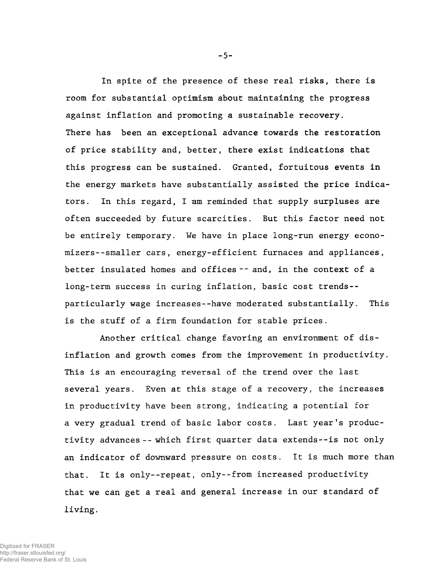**In spite of the presence of these real risks, there is room for substantial optimism about maintaining the progress against inflation and promoting a sustainable recovery. There has been an exceptional advance towards the restoration of price stability and, better, there exist indications that this progress can be sustained. Granted, fortuitous events in the energy markets have substantially assisted the price indicators. In this regard, I am reminded that supply surpluses are often succeeded by future scarcities. But this factor need not be entirely temporary. We have in place long-run energy economizers--smaller cars, energy-efficient furnaces and appliances, better insulated homes and offices -- and, in the context of a long-term success in curing inflation, basic cost trends- particularly wage increases--have moderated substantially. This is the stuff of a firm foundation for stable prices.**

**Another critical change favoring an environment of disinflation and growth comes from the improvement in productivity. This is an encouraging reversal of the trend over the last several years. Even at this stage of a recovery, the increases in productivity have been strong, indicating a potential for a very gradual trend of basic labor costs. Last year's productivity advances -- which first quarter data extends--is not only an indicator of downward pressure on costs. It is much more than that. It is only--repeat, only--from increased productivity that we can get a real and general increase in our standard of living.**

**- 5 -**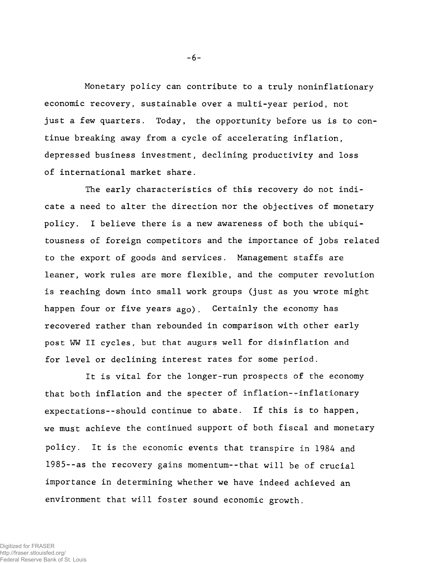**Monetary policy can contribute to a truly noninflationary economic recovery, sustainable over a multi-year period, not just a few quarters. Today, the opportunity before us is to continue breaking away from a cycle of accelerating inflation, depressed business investment, declining productivity and loss of international market share.**

**The early characteristics of this recovery do not indicate a need to alter the direction nor the objectives of monetary policy. I believe there is a new awareness of both the ubiquitousness of foreign competitors and the importance of jobs related to the export of goods and services. Management staffs are leaner, work rules are more flexible, and the computer revolution is reaching down into small work groups (just as you wrote might happen four or five years ago). Certainly the economy has recovered rather than rebounded in comparison with other early post WW II cycles, but that augurs well for disinflation and for level or declining interest rates for some period.**

**It is vital for the longer-run prospects of the economy that both inflation and the specter of inflation--inflationary expectations--should continue to abate. If this is to happen, we must achieve the continued support of both fiscal and monetary policy. It is the economic events that transpire in 1984 and 1985--as the recovery gains momentum--that will be of crucial importance in determining whether we have indeed achieved an environment that will foster sound economic growth.**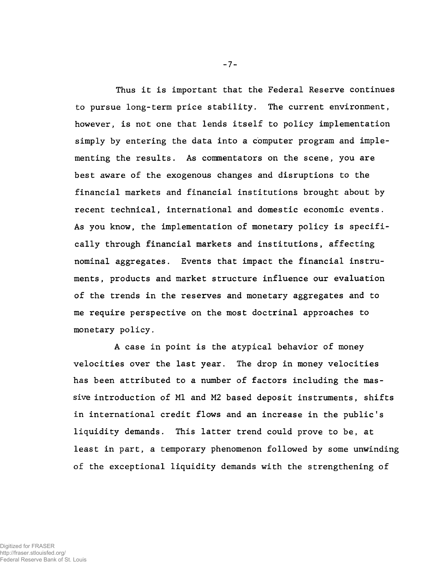**Thus it is important that the Federal Reserve continues to pursue long-term price stability. The current environment, however, is not one that lends itself to policy implementation simply by entering the data into a computer program and implementing the results. As commentators on the scene, you are best aware of the exogenous changes and disruptions to the financial markets and financial institutions brought about by recent technical, international and domestic economic events. As you know, the implementation of monetary policy is specifically through financial markets and institutions, affecting nominal aggregates. Events that impact the financial instruments, products and market structure influence our evaluation of the trends in the reserves and monetary aggregates and to me require perspective on the most doctrinal approaches to monetary policy.**

**A case in point is the atypical behavior of money velocities over the last year. The drop in money velocities has been attributed to a number of factors including the massive introduction of Ml and M2 based deposit instruments, shifts in international credit flows and an increase in the public's liquidity demands. This latter trend could prove to be, at least in part, a temporary phenomenon followed by some unwinding of the exceptional liquidity demands with the strengthening of**

**- 7 -**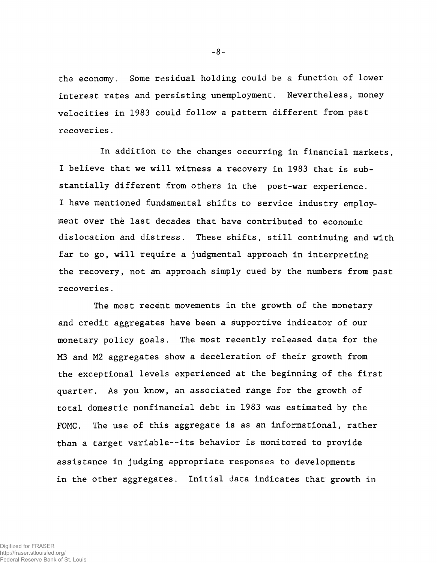**the economy. Some residual holding could be** a **function of lower interest rates and persisting unemployment. Nevertheless, money velocities in 1983 could follow a pattern different from past recoveries.**

**In addition to the changes occurring in financial markets, I believe that we will witness a recovery in 1983 that is substantially different from others in the post-war experience. I have mentioned fundamental shifts to service industry employment over thè last decades that have contributed to economic dislocation and distress. These shifts, still continuing and with far to go, will require a judgmental approach in interpreting the recovery, not an approach simply cued by the numbers from past recoveries.**

**The most recent movements in the growth of the monetary and credit aggregates have been a supportive indicator of our monetary policy goals. The most recently released data for the M3 and M2 aggregates show a deceleration of their growth from the exceptional levels experienced at the beginning of the first quarter. As you know, an associated range for the growth of total domestic nonfinancial debt in 1983 was estimated by the FOMC. The use of this aggregate is as an informational, rather than a target variable--its behavior is monitored to provide assistance in judging appropriate responses to developments in the other aggregates. Initial data indicates that growth in**

-8-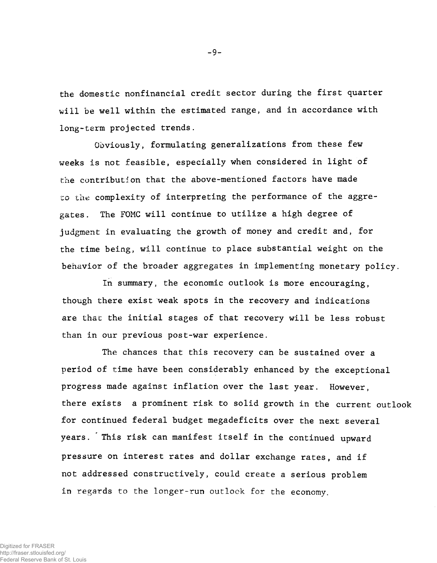**the domestic nonfinancial credit sector during the first quarter will be well within the estimated range, and in accordance with long-term projected trends.**

**Obviously, formulating generalizations from these few weeks is not feasible, especially when considered in light of the contribution that the above-mentioned factors have made** to the complexity of interpreting the performance of the aggre**gates . The FOMC will continue to utilize a high degree of judgment in evaluating the growth of money and credit and, for the time being, will continue to place substantial weight on the behavior of the broader aggregates in implementing monetary policy.**

**In summary, the economic outlook is more encouraging, though there exist weak spots in the recovery and indications are that the initial stages of that recovery will be less robust than in our previous post-war experience.**

**The chances that this recovery can be sustained over a period of time have been considerably enhanced by the exceptional progress made against inflation over the last year. However, there exists a prominent risk to solid growth in the current outlook for continued federal budget megadeficits over the next several years. This risk can manifest itself in the continued upward pressure on interest rates and dollar exchange rates, and if not addressed constructively, could create a serious problem in regards to the longer-run outlook for the economy.**